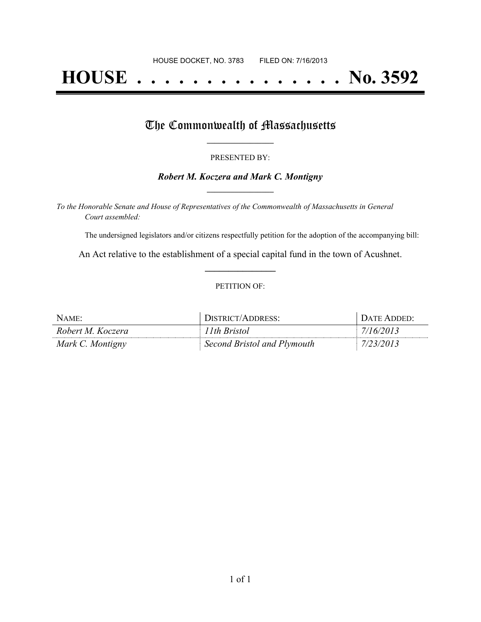# **HOUSE . . . . . . . . . . . . . . . No. 3592**

### The Commonwealth of Massachusetts

#### PRESENTED BY:

#### *Robert M. Koczera and Mark C. Montigny* **\_\_\_\_\_\_\_\_\_\_\_\_\_\_\_\_\_**

*To the Honorable Senate and House of Representatives of the Commonwealth of Massachusetts in General Court assembled:*

The undersigned legislators and/or citizens respectfully petition for the adoption of the accompanying bill:

An Act relative to the establishment of a special capital fund in the town of Acushnet. **\_\_\_\_\_\_\_\_\_\_\_\_\_\_\_**

#### PETITION OF:

| $N$ AME:          | DISTRICT/ADDRESS:           | DATE ADDED: |
|-------------------|-----------------------------|-------------|
| Robert M. Koczera | 11 <sup>th</sup> Bristol    | 17/16/2013  |
| Mark C. Montigny  | Second Bristol and Plymouth | 7/23/2013   |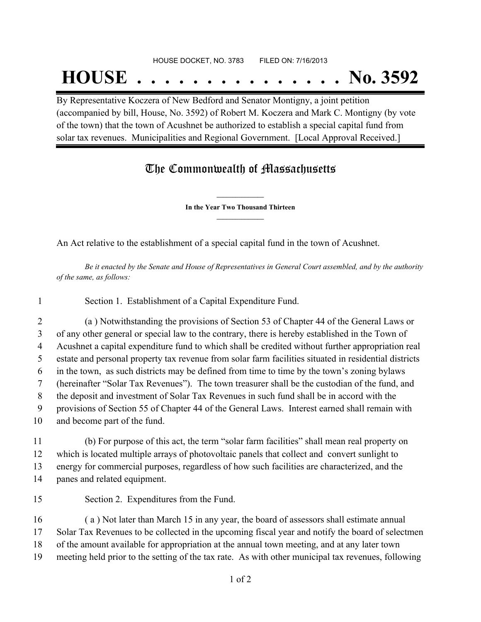#### HOUSE DOCKET, NO. 3783 FILED ON: 7/16/2013

## **HOUSE . . . . . . . . . . . . . . . No. 3592**

By Representative Koczera of New Bedford and Senator Montigny, a joint petition (accompanied by bill, House, No. 3592) of Robert M. Koczera and Mark C. Montigny (by vote of the town) that the town of Acushnet be authorized to establish a special capital fund from solar tax revenues. Municipalities and Regional Government. [Local Approval Received.]

## The Commonwealth of Massachusetts

**\_\_\_\_\_\_\_\_\_\_\_\_\_\_\_ In the Year Two Thousand Thirteen \_\_\_\_\_\_\_\_\_\_\_\_\_\_\_**

An Act relative to the establishment of a special capital fund in the town of Acushnet.

Be it enacted by the Senate and House of Representatives in General Court assembled, and by the authority *of the same, as follows:*

Section 1. Establishment of a Capital Expenditure Fund.

 (a ) Notwithstanding the provisions of Section 53 of Chapter 44 of the General Laws or of any other general or special law to the contrary, there is hereby established in the Town of Acushnet a capital expenditure fund to which shall be credited without further appropriation real estate and personal property tax revenue from solar farm facilities situated in residential districts in the town, as such districts may be defined from time to time by the town's zoning bylaws (hereinafter "Solar Tax Revenues"). The town treasurer shall be the custodian of the fund, and the deposit and investment of Solar Tax Revenues in such fund shall be in accord with the provisions of Section 55 of Chapter 44 of the General Laws. Interest earned shall remain with and become part of the fund.

 (b) For purpose of this act, the term "solar farm facilities" shall mean real property on which is located multiple arrays of photovoltaic panels that collect and convert sunlight to energy for commercial purposes, regardless of how such facilities are characterized, and the panes and related equipment.

- Section 2. Expenditures from the Fund. ( a ) Not later than March 15 in any year, the board of assessors shall estimate annual Solar Tax Revenues to be collected in the upcoming fiscal year and notify the board of selectmen of the amount available for appropriation at the annual town meeting, and at any later town
- meeting held prior to the setting of the tax rate. As with other municipal tax revenues, following